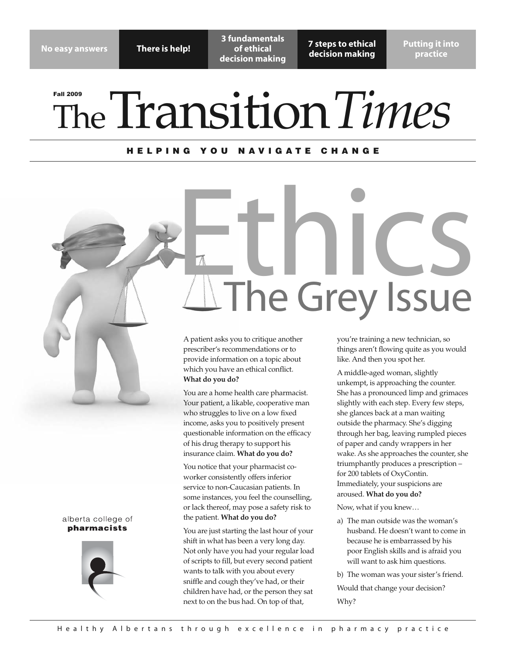**decision making**

**Putting it into practice**

# TheTransition*Times* Fall 2009

#### **HELPING YOU NAVIGATE CHANGE**

# Ethics The Grey Issue

A patient asks you to critique another prescriber's recommendations or to provide information on a topic about which you have an ethical conflict. **What do you do?**

You are a home health care pharmacist. Your patient, a likable, cooperative man who struggles to live on a low fixed income, asks you to positively present questionable information on the efficacy of his drug therapy to support his insurance claim. **What do you do?**

You notice that your pharmacist coworker consistently offers inferior service to non-Caucasian patients. In some instances, you feel the counselling, or lack thereof, may pose a safety risk to the patient. **What do you do?**

You are just starting the last hour of your shift in what has been a very long day. Not only have you had your regular load of scripts to fill, but every second patient wants to talk with you about every sniffle and cough they've had, or their children have had, or the person they sat next to on the bus had. On top of that,

you're training a new technician, so things aren't flowing quite as you would like. And then you spot her.

A middle-aged woman, slightly unkempt, is approaching the counter. She has a pronounced limp and grimaces slightly with each step. Every few steps, she glances back at a man waiting outside the pharmacy. She's digging through her bag, leaving rumpled pieces of paper and candy wrappers in her wake. As she approaches the counter, she triumphantly produces a prescription – for 200 tablets of OxyContin. Immediately, your suspicions are aroused. **What do you do?**

Now, what if you knew…

a) The man outside was the woman's husband. He doesn't want to come in because he is embarrassed by his poor English skills and is afraid you will want to ask him questions.

b) The woman was your sister's friend.

Would that change your decision? Why?

#### alberta college of pharmacists

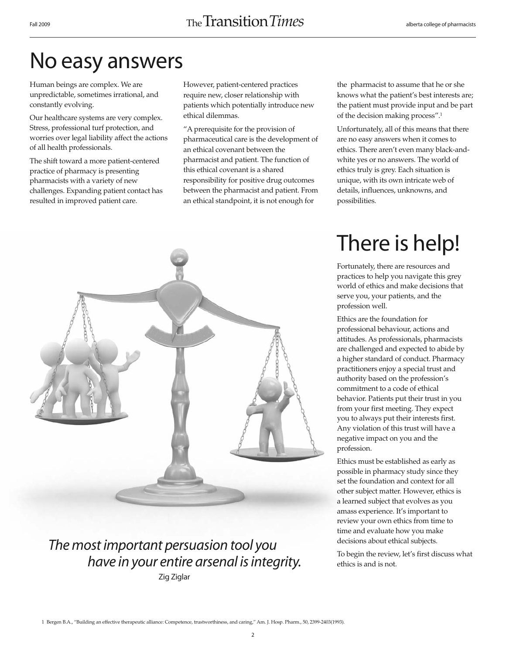# No easy answers

Human beings are complex. We are unpredictable, sometimes irrational, and constantly evolving.

Our healthcare systems are very complex. Stress, professional turf protection, and worries over legal liability affect the actions of all health professionals.

The shift toward a more patient-centered practice of pharmacy is presenting pharmacists with a variety of new challenges. Expanding patient contact has resulted in improved patient care.

However, patient-centered practices require new, closer relationship with patients which potentially introduce new ethical dilemmas.

"A prerequisite for the provision of pharmaceutical care is the development of an ethical covenant between the pharmacist and patient. The function of this ethical covenant is a shared responsibility for positive drug outcomes between the pharmacist and patient. From an ethical standpoint, it is not enough for

the pharmacist to assume that he or she knows what the patient's best interests are; the patient must provide input and be part of the decision making process".1

Unfortunately, all of this means that there are no easy answers when it comes to ethics. There aren't even many black-andwhite yes or no answers. The world of ethics truly is grey. Each situation is unique, with its own intricate web of details, influences, unknowns, and possibilities.



*The most important persuasion tool you have in your entire arsenal is integrity.*  Zig Ziglar

# There is help!

Fortunately, there are resources and practices to help you navigate this grey world of ethics and make decisions that serve you, your patients, and the profession well.

Ethics are the foundation for professional behaviour, actions and attitudes. As professionals, pharmacists are challenged and expected to abide by a higher standard of conduct. Pharmacy practitioners enjoy a special trust and authority based on the profession's commitment to a code of ethical behavior. Patients put their trust in you from your first meeting. They expect you to always put their interests first. Any violation of this trust will have a negative impact on you and the profession.

Ethics must be established as early as possible in pharmacy study since they set the foundation and context for all other subject matter. However, ethics is a learned subject that evolves as you amass experience. It's important to review your own ethics from time to time and evaluate how you make decisions about ethical subjects.

To begin the review, let's first discuss what ethics is and is not.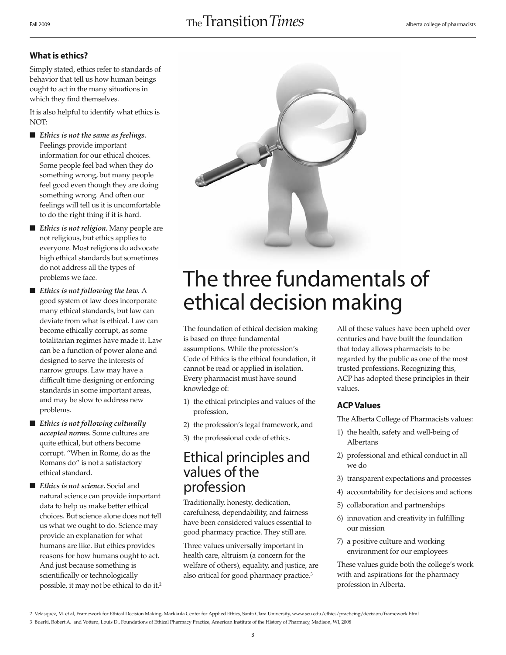#### **What is ethics?**

Simply stated, ethics refer to standards of behavior that tell us how human beings ought to act in the many situations in which they find themselves.

It is also helpful to identify what ethics is NOT:

- *Ethics is not the same as feelings.* Feelings provide important information for our ethical choices. Some people feel bad when they do something wrong, but many people feel good even though they are doing something wrong. And often our feelings will tell us it is uncomfortable to do the right thing if it is hard.
- *Ethics is not religion*. Many people are not religious, but ethics applies to everyone. Most religions do advocate high ethical standards but sometimes do not address all the types of problems we face.
- *Ethics is not following the law.* A good system of law does incorporate many ethical standards, but law can deviate from what is ethical. Law can become ethically corrupt, as some totalitarian regimes have made it. Law can be a function of power alone and designed to serve the interests of narrow groups. Law may have a difficult time designing or enforcing standards in some important areas, and may be slow to address new problems.
- *Ethics is not following culturally accepted norms.* Some cultures are quite ethical, but others become corrupt. "When in Rome, do as the Romans do" is not a satisfactory ethical standard.
- *Ethics is not science*. Social and natural science can provide important data to help us make better ethical choices. But science alone does not tell us what we ought to do. Science may provide an explanation for what humans are like. But ethics provides reasons for how humans ought to act. And just because something is scientifically or technologically possible, it may not be ethical to do it.2



# The three fundamentals of ethical decision making

The foundation of ethical decision making is based on three fundamental assumptions. While the profession's Code of Ethics is the ethical foundation, it cannot be read or applied in isolation. Every pharmacist must have sound knowledge of:

- 1) the ethical principles and values of the profession,
- 2) the profession's legal framework, and
- 3) the professional code of ethics.

## Ethical principles and values of the profession

Traditionally, honesty, dedication, carefulness, dependability, and fairness have been considered values essential to good pharmacy practice. They still are.

Three values universally important in health care, altruism (a concern for the welfare of others), equality, and justice, are also critical for good pharmacy practice.3

All of these values have been upheld over centuries and have built the foundation that today allows pharmacists to be regarded by the public as one of the most trusted professions. Recognizing this, ACP has adopted these principles in their values.

#### **ACP Values**

The Alberta College of Pharmacists values:

- 1) the health, safety and well-being of Albertans
- 2) professional and ethical conduct in all we do
- 3) transparent expectations and processes
- 4) accountability for decisions and actions
- 5) collaboration and partnerships
- 6) innovation and creativity in fulfilling our mission
- 7) a positive culture and working environment for our employees

These values guide both the college's work with and aspirations for the pharmacy profession in Alberta.

<sup>2</sup> Velasquez, M. et al, Framework for Ethical Decision Making, Markkula Center for Applied Ethics, Santa Clara University, www.scu.edu/ethics/practicing/decision/framework.html 3 Buerki, Robert A. and Vottero, Louis D., Foundations of Ethical Pharmacy Practice, American Institute of the History of Pharmacy, Madison, WI, 2008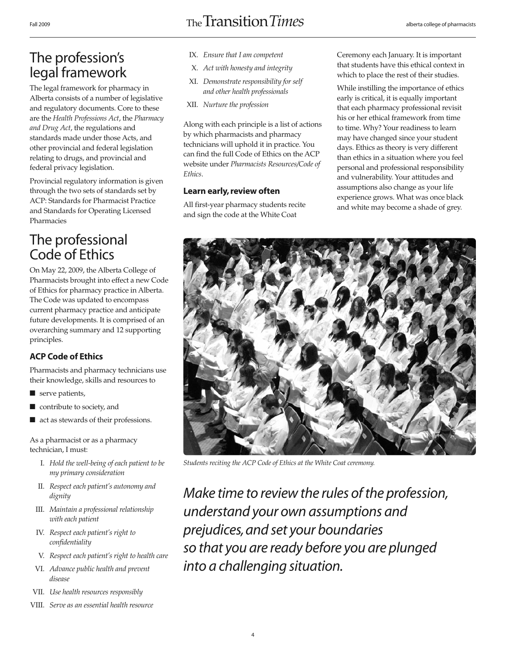## The profession's legal framework

The legal framework for pharmacy in Alberta consists of a number of legislative and regulatory documents. Core to these are the *Health Professions Act*, the *Pharmacy and Drug Act*, the regulations and standards made under those Acts, and other provincial and federal legislation relating to drugs, and provincial and federal privacy legislation.

Provincial regulatory information is given through the two sets of standards set by ACP: Standards for Pharmacist Practice and Standards for Operating Licensed Pharmacies

## The professional Code of Ethics

On May 22, 2009, the Alberta College of Pharmacists brought into effect a new Code of Ethics for pharmacy practice in Alberta. The Code was updated to encompass current pharmacy practice and anticipate future developments. It is comprised of an overarching summary and 12 supporting principles.

#### **ACP Code of Ethics**

Pharmacists and pharmacy technicians use their knowledge, skills and resources to

- serve patients,
- contribute to society, and
- act as stewards of their professions.

As a pharmacist or as a pharmacy technician, I must:

- I. *Hold the well-being of each patient to be my primary consideration*
- II. *Respect each patient's autonomy and dignity*
- III. *Maintain a professional relationship with each patient*
- IV. *Respect each patient's right to confidentiality*
- V. *Respect each patient's right to health care*
- VI. *Advance public health and prevent disease*
- VII. *Use health resources responsibly*
- VIII. *Serve as an essential health resource*
- IX. *Ensure that I am competent*
- X. *Act with honesty and integrity*
- XI. *Demonstrate responsibility for self and other health professionals*
- XII. *Nurture the profession*

Along with each principle is a list of actions by which pharmacists and pharmacy technicians will uphold it in practice. You can find the full Code of Ethics on the ACP website under *Pharmacists Resources/Code of Ethics*.

#### **Learn early, review often**

All first-year pharmacy students recite and sign the code at the White Coat

Ceremony each January. It is important that students have this ethical context in which to place the rest of their studies.

While instilling the importance of ethics early is critical, it is equally important that each pharmacy professional revisit his or her ethical framework from time to time. Why? Your readiness to learn may have changed since your student days. Ethics as theory is very different than ethics in a situation where you feel personal and professional responsibility and vulnerability. Your attitudes and assumptions also change as your life experience grows. What was once black and white may become a shade of grey.



*Students reciting the ACP Code of Ethics at the White Coat ceremony.*

*Make time to review the rules of the profession, understand your own assumptions and prejudices, and set your boundaries so that you are ready before you are plunged into a challenging situation.*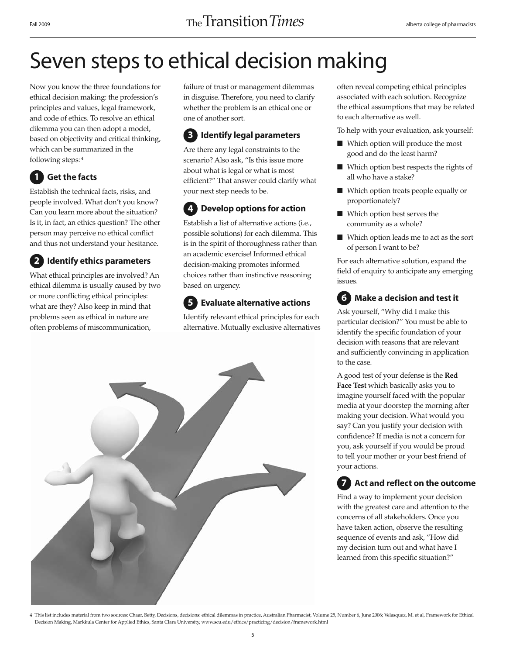# Seven steps to ethical decision making

Now you know the three foundations for ethical decision making: the profession's principles and values, legal framework, and code of ethics. To resolve an ethical dilemma you can then adopt a model, based on objectivity and critical thinking, which can be summarized in the following steps: <sup>4</sup>

#### **Get the facts 1**

Establish the technical facts, risks, and people involved. What don't you know? Can you learn more about the situation? Is it, in fact, an ethics question? The other person may perceive no ethical conflict and thus not understand your hesitance.

## **Identify ethics parameters 2**

What ethical principles are involved? An ethical dilemma is usually caused by two or more conflicting ethical principles: what are they? Also keep in mind that problems seen as ethical in nature are often problems of miscommunication,

failure of trust or management dilemmas in disguise. Therefore, you need to clarify whether the problem is an ethical one or one of another sort.

## **Identify legal parameters 3**

Are there any legal constraints to the scenario? Also ask, "Is this issue more about what is legal or what is most efficient?" That answer could clarify what your next step needs to be.

## **Develop options for action 4**

Establish a list of alternative actions (i.e., possible solutions) for each dilemma. This is in the spirit of thoroughness rather than an academic exercise! Informed ethical decision-making promotes informed choices rather than instinctive reasoning based on urgency.

## **Evaluate alternative actions <sup>6</sup> <sup>5</sup>**

Identify relevant ethical principles for each alternative. Mutually exclusive alternatives



often reveal competing ethical principles associated with each solution. Recognize the ethical assumptions that may be related to each alternative as well.

To help with your evaluation, ask yourself:

- Which option will produce the most good and do the least harm?
- Which option best respects the rights of all who have a stake?
- Which option treats people equally or proportionately?
- Which option best serves the community as a whole?
- Which option leads me to act as the sort of person I want to be?

For each alternative solution, expand the field of enquiry to anticipate any emerging issues.

## **Make a decision and test it**

Ask yourself, "Why did I make this particular decision?" You must be able to identify the specific foundation of your decision with reasons that are relevant and sufficiently convincing in application to the case.

A good test of your defense is the **Red Face Test** which basically asks you to imagine yourself faced with the popular media at your doorstep the morning after making your decision. What would you say? Can you justify your decision with confidence? If media is not a concern for you, ask yourself if you would be proud to tell your mother or your best friend of your actions.

#### **Act and reflect on the outcome 7**

Find a way to implement your decision with the greatest care and attention to the concerns of all stakeholders. Once you have taken action, observe the resulting sequence of events and ask, "How did my decision turn out and what have I learned from this specific situation?"

4 This list includes material from two sources: Chaar, Betty, Decisions, decisions: ethical dilemmas in practice, Australian Pharmacist, Volume 25, Number 6, June 2006; Velasquez, M. et al, Framework for Ethical Decision Making, Markkula Center for Applied Ethics, Santa Clara University, www.scu.edu/ethics/practicing/decision/framework.html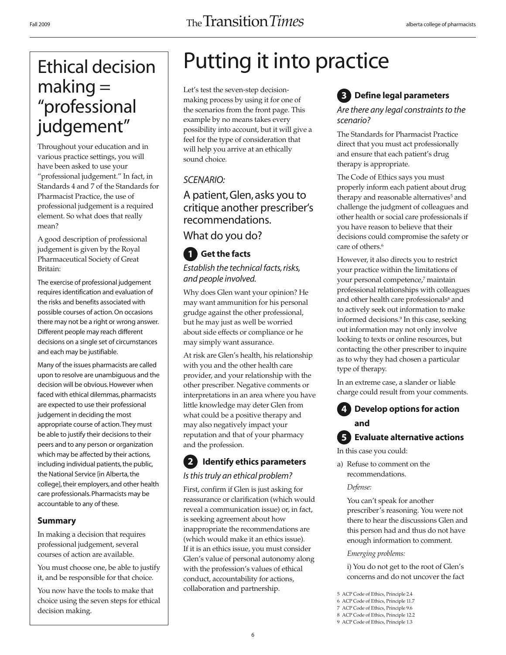## Ethical decision  $making =$ "professional judgement"

Throughout your education and in various practice settings, you will have been asked to use your "professional judgement." In fact, in Standards 4 and 7 of the Standards for Pharmacist Practice, the use of professional judgement is a required element. So what does that really mean?

A good description of professional judgement is given by the Royal Pharmaceutical Society of Great Britain:

The exercise of professional judgement requires identification and evaluation of the risks and benefits associated with possible courses of action. On occasions there may not be a right or wrong answer. Different people may reach different decisions on a single set of circumstances and each may be justifiable.

Many of the issues pharmacists are called upon to resolve are unambiguous and the decision will be obvious. However when faced with ethical dilemmas, pharmacists are expected to use their professional judgement in deciding the most appropriate course of action. They must be able to justify their decisions to their peers and to any person or organization which may be affected by their actions, including individual patients, the public, the National Service [in Alberta, the college], their employers, and other health care professionals. Pharmacists may be accountable to any of these.

#### **Summary**

In making a decision that requires professional judgement, several courses of action are available.

You must choose one, be able to justify it, and be responsible for that choice.

You now have the tools to make that choice using the seven steps for ethical decision making.

# Putting it into practice

Let's test the seven-step decisionmaking process by using it for one of the scenarios from the front page. This example by no means takes every possibility into account, but it will give a feel for the type of consideration that will help you arrive at an ethically sound choice.

#### *SCENARIO:*

## A patient, Glen, asks you to critique another prescriber's recommendations.

What do you do?

#### **1** Get the facts *Establish the technical facts, risks, and people involved.*

Why does Glen want your opinion? He may want ammunition for his personal grudge against the other professional, but he may just as well be worried about side effects or compliance or he may simply want assurance.

At risk are Glen's health, his relationship with you and the other health care provider, and your relationship with the other prescriber. Negative comments or interpretations in an area where you have little knowledge may deter Glen from what could be a positive therapy and may also negatively impact your reputation and that of your pharmacy and the profession.

## **Identify ethics parameters 2**

#### *Is this truly an ethical problem?*

First, confirm if Glen is just asking for reassurance or clarification (which would reveal a communication issue) or, in fact, is seeking agreement about how inappropriate the recommendations are (which would make it an ethics issue). If it is an ethics issue, you must consider Glen's value of personal autonomy along with the profession's values of ethical conduct, accountability for actions, collaboration and partnership.

## **Define legal parameters 3**

*Are there any legal constraints to the scenario?* 

The Standards for Pharmacist Practice direct that you must act professionally and ensure that each patient's drug therapy is appropriate.

The Code of Ethics says you must properly inform each patient about drug therapy and reasonable alternatives<sup>5</sup> and challenge the judgment of colleagues and other health or social care professionals if you have reason to believe that their decisions could compromise the safety or care of others.<sup>6</sup>

However, it also directs you to restrict your practice within the limitations of your personal competence,7 maintain professional relationships with colleagues and other health care professionals<sup>8</sup> and to actively seek out information to make informed decisions.9 In this case, seeking out information may not only involve looking to texts or online resources, but contacting the other prescriber to inquire as to why they had chosen a particular type of therapy.

In an extreme case, a slander or liable charge could result from your comments.

#### **Develop options for action and 4**

#### **Evaluate alternative actions 5**

In this case you could:

a) Refuse to comment on the recommendations.

#### *Defense:*

You can't speak for another prescriber's reasoning. You were not there to hear the discussions Glen and this person had and thus do not have enough information to comment.

#### *Emerging problems:*

i) You do not get to the root of Glen's concerns and do not uncover the fact

<sup>5</sup> ACP Code of Ethics, Principle 2.4

<sup>6</sup> ACP Code of Ethics, Principle 11.7

<sup>7</sup> ACP Code of Ethics, Principle 9.6

<sup>8</sup> ACP Code of Ethics, Principle 12.2

<sup>9</sup> ACP Code of Ethics, Principle 1.3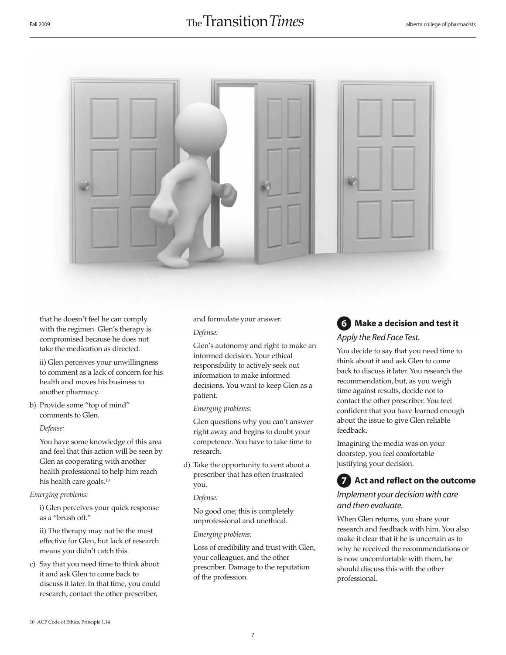

that he doesn't feel he can comply with the regimen. Glen's therapy is compromised because he does not take the medication as directed.

ii) Glen perceives your unwillingness to comment as a lack of concern for his health and moves his business to another pharmacy.

b) Provide some "top of mind" comments to Glen.

#### *Defense:*

You have some knowledge of this area and feel that this action will be seen by Glen as cooperating with another health professional to help him reach his health care goals.<sup>10</sup>

#### *Emerging problems:*

i) Glen perceives your quick response as a "brush off."

ii) The therapy may not be the most effective for Glen, but lack of research means you didn't catch this.

c) Say that you need time to think about it and ask Glen to come back to discuss it later. In that time, you could research, contact the other prescriber,

and formulate your answer.

#### *Defense:*

Glen's autonomy and right to make an informed decision. Your ethical responsibility to actively seek out information to make informed decisions. You want to keep Glen as a patient.

#### *Emerging problems:*

Glen questions why you can't answer right away and begins to doubt your competence. You have to take time to research.

d) Take the opportunity to vent about a prescriber that has often frustrated you.

#### *Defense:*

No good one; this is completely unprofessional and unethical.

#### *Emerging problems:*

Loss of credibility and trust with Glen, your colleagues, and the other prescriber. Damage to the reputation of the profession.

## **Make a decision and test it 6**

#### *Apply the Red Face Test.*

You decide to say that you need time to think about it and ask Glen to come back to discuss it later. You research the recommendation, but, as you weigh time against results, decide not to contact the other prescriber. You feel confident that you have learned enough about the issue to give Glen reliable feedback.

Imagining the media was on your doorstep, you feel comfortable justifying your decision.

#### **Act and reflect on the outcome 7**

#### *Implement your decision with care and then evaluate.*

When Glen returns, you share your research and feedback with him. You also make it clear that if he is uncertain as to why he received the recommendations or is now uncomfortable with them, he should discuss this with the other professional.